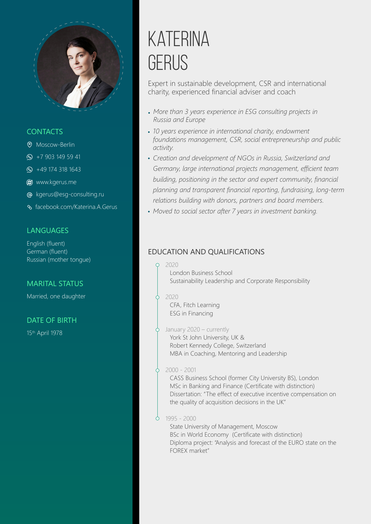

### **CONTACTS**

- Moscow-Berlin
- $\circ$  +7 903 149 59 41
- $\circ$  +49 174 318 1643
- **@** [www.kgerus.me](http://kgerus.me/)
- [kgerus@esg-consulting.ru](mailto:kgerus@esg-consulting.ru)
- [facebook.com/Katerina.A.Gerus](https://www.facebook.com/Katerina.A.Gerus)

### **LANGUAGES**

English (fluent) German (fluent) Russian (mother tongue)

### MARITAL STATUS

Married, one daughter

### DATE OF BIRTH

15th April 1978

# **KATERINA** GFRUS

Expert in sustainable development, CSR and international charity, experienced financial adviser and coach

- *More than 3 years experience in ESG consulting projects in Russia and Europe*
- *10 years experience in international charity, endowment foundations management, CSR, social entrepreneurship and public activity.*
- *Creation and development of NGOs in Russia, Switzerland and Germany, large international projects management, efficient team building, positioning in the sector and expert community, financial planning and transparent financial reporting, fundraising, long-term relations building with donors, partners and board members.*
- *Moved to social sector after 7 years in investment banking.*

### EDUCATION AND QUALIFICATIONS

#### 2020

London Business School Sustainability Leadership and Corporate Responsibility

#### 2020

CFA, Fitch Learning ESG in Financing

### $\phi$  January 2020 – currently

York St John University, UK & Robert Kennedy College, Switzerland MBA in Coaching, Mentoring and Leadership

### 2000 - 2001

CASS Business School (former City University BS), London MSc in Banking and Finance (Certificate with distinction) Dissertation: "The effect of executive incentive compensation on the quality of acquisition decisions in the UK"

### $0$  1995 - 2000

State University of Management, Moscow BSc in World Economy (Certificate with distinction) Diploma project: "Analysis and forecast of the EURO state on the FOREX market"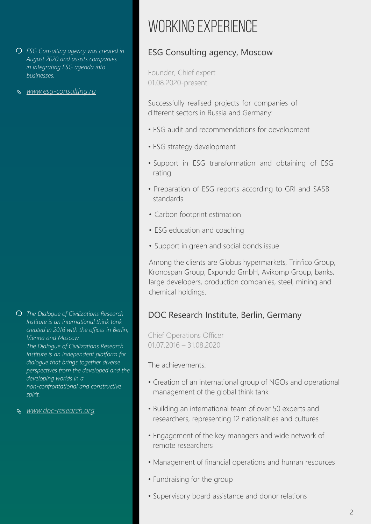- *ESG Consulting agency was created in August 2020 and assists companies in integrating ESG agenda into businesses.*
- *<www.esg-consulting.ru>*

- *The Dialogue of Civilizations Research Institute is an international think tank created in 2016 with the offices in Berlin, Vienna and Moscow. The Dialogue of Civilizations Research Institute is an independent platform for dialogue that brings together diverse perspectives from the developed and the developing worlds in a non-confrontational and constructive spirit.*
- *[www.doc-research.org](https://doc-research.org/)*

## WORKING EXPERIENCE

## ESG Consulting agency, Moscow

Founder, Chief expert 01.08.2020-present

Successfully realised projects for companies of different sectors in Russia and Germany:

- ESG audit and recommendations for development
- ESG strategy development
- Support in ESG transformation and obtaining of ESG rating
- Preparation of ESG reports according to GRI and SASB standards
- Carbon footprint estimation
- ESG education and coaching
- Support in green and social bonds issue

Among the clients are Globus hypermarkets, Trinfico Group, Kronospan Group, Expondo GmbH, Avikomp Group, banks, large developers, production companies, steel, mining and chemical holdings.

## DOC Research Institute, Berlin, Germany

Chief Operations Officer 01.07.2016 – 31.08.2020

The achievements:

- Creation of an international group of NGOs and operational management of the global think tank
- Building an international team of over 50 experts and researchers, representing 12 nationalities and cultures
- Engagement of the key managers and wide network of remote researchers
- Management of financial operations and human resources
- Fundraising for the group
- Supervisory board assistance and donor relations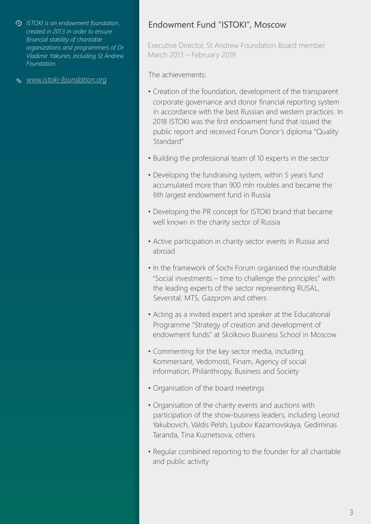- *ISTOKI is an endowment foundation, created in 2013 in order to ensure financial stability of charitable organizations and programmers of Dr Vladimir Yakunin, including St Andrew Foundation.*
- *[www.istoki-foundation.org](https://istoki-foundation.org/)*

## Endowment Fund "ISTOKI", Moscow

Executive Director, St Andrew Foundation Board member March 2013 – February 2019

The achievements:

- Creation of the foundation, development of the transparent corporate governance and donor financial reporting system in accordance with the best Russian and western practices. In 2018 ISTOKI was the first endowment fund that issued the public report and received Forum Donor's diploma "Quality Standard"
- Building the professional team of 10 experts in the sector
- Developing the fundraising system, within 5 years fund accumulated more than 900 mln roubles and became the 6th largest endowment fund in Russia
- Developing the PR concept for ISTOKI brand that became well known in the charity sector of Russia
- Active participation in charity sector events in Russia and abroad
- In the framework of Sochi Forum organised the roundtable "Social investments – time to challenge the principles" with the leading experts of the sector representing RUSAL, Severstal, MTS, Gazprom and others
- Acting as a invited expert and speaker at the Educational Programme "Strategy of creation and development of endowment funds" at Skolkovo Business School in Moscow
- Commenting for the key sector media, including Kommersant, Vedomosti, Finam, Agency of social information, Philanthropy, Business and Society
- Organisation of the board meetings
- Organisation of the charity events and auctions with participation of the show-business leaders, including Leonid Yakubovich, Valdis Pelsh, Lyubov Kazarnovskaya, Gediminas Taranda, Tina Kuznetsova, others
- Regular combined reporting to the founder for all charitable and public activity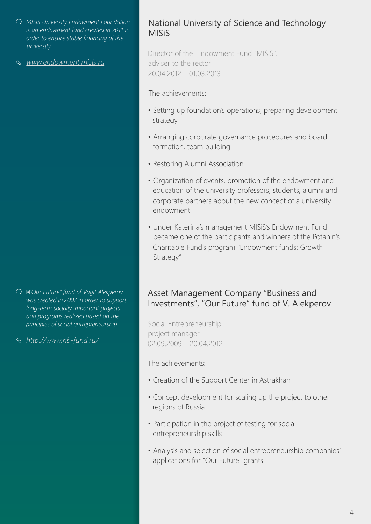- *MISiS University Endowment Foundation is an endowment fund created in 2011 in order to ensure stable financing of the university.*
- *[www.endowment.misis.ru](http://www.endowment.misis.ru/)*

- *"Our Future" fund of Vagit Alekperov was created in 2007 in order to support long-term socially important projects and programs realized based on the principles of social entrepreneurship.*
- *<http://www.nb-fund.ru/>*

## National University of Science and Technology **MISiS**

Director of the Endowment Fund "MISiS", adviser to the rector 20.04.2012 – 01.03.2013

The achievements:

- Setting up foundation's operations, preparing development strategy
- Arranging corporate governance procedures and board formation, team building
- Restoring Alumni Association
- Organization of events, promotion of the endowment and education of the university professors, students, alumni and corporate partners about the new concept of a university endowment
- Under Katerina's management MISiS's Endowment Fund became one of the participants and winners of the Potanin's Charitable Fund's program "Endowment funds: Growth Strategy"

## Asset Management Company "Business and Investments", "Our Future" fund of V. Alekperov

Social Entrepreneurship project manager 02.09.2009 – 20.04.2012

The achievements:

- Creation of the Support Center in Astrakhan
- Concept development for scaling up the project to other regions of Russia
- Participation in the project of testing for social entrepreneurship skills
- Analysis and selection of social entrepreneurship companies' applications for "Our Future" grants